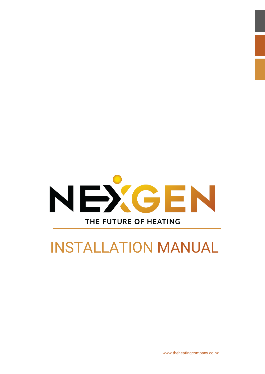

# INSTALLATION MANUAL

www.theheatingcompany.co.nz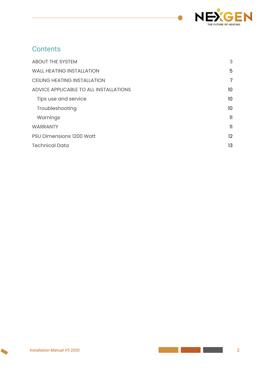

# **Contents**

| <b>ABOUT THE SYSTEM</b>                | 3               |
|----------------------------------------|-----------------|
| <b>WALL HEATING INSTALLATION</b>       | 5               |
| <b>CEILING HEATING INSTALLATION</b>    | 7               |
| ADVICE APPLICABLE TO ALL INSTALLATIONS | 10 <sup>°</sup> |
| Tips use and service                   | 10 <sup>°</sup> |
| Troubleshooting                        | 10              |
| Warnings                               | 11              |
| <b>WARRANTY</b>                        | $\mathbf{1}$    |
| <b>PSU Dimensions 1200 Watt</b>        | 12              |
| <b>Technical Data</b>                  | 13              |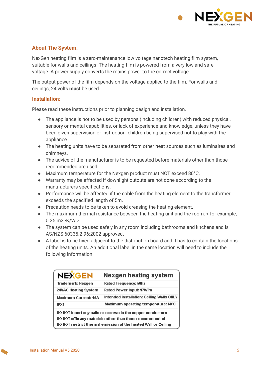

#### **About The System:**

NexGen heating film is a zero-maintenance low voltage nanotech heating film system, suitable for walls and ceilings. The heating film is powered from a very low and safe voltage. A power supply converts the mains power to the correct voltage.

The output power of the film depends on the voltage applied to the film. For walls and ceilings, 24 volts **must** be used.

#### **Installation:**

Please read these instructions prior to planning design and installation.

- The appliance is not to be used by persons (including children) with reduced physical, sensory or mental capabilities, or lack of experience and knowledge, unless they have been given supervision or instruction, children being supervised not to play with the appliance.
- The heating units have to be separated from other heat sources such as luminaires and chimneys.
- The advice of the manufacturer is to be requested before materials other than those recommended are used.
- Maximum temperature for the Nexgen product must NOT exceed 80°C.
- Warranty may be affected if downlight cutouts are not done according to the manufacturers specifications.
- Performance will be affected if the cable from the heating element to the transformer exceeds the specified length of 5m.
- Precaution needs to be taken to avoid creasing the heating element.
- The maximum thermal resistance between the heating unit and the room. < for example,  $0.25 \,\mathrm{m2 \cdot K/W}$  >.
- The system can be used safely in any room including bathrooms and kitchens and is AS/NZS 60335.2.96:2002 approved.
- A label is to be fixed adjacent to the distribution board and it has to contain the locations of the heating units. An additional label in the same location will need to include the following information.

| <b>NEXGEN</b>                                                  | Nexgen heating system                     |  |
|----------------------------------------------------------------|-------------------------------------------|--|
| Trademark: Nexgen                                              | Rated Frequency: 50Hz                     |  |
| 24VAC Heating System                                           | Rated Power Input: 97W/m                  |  |
| <b>Maximum Current: 15A</b>                                    | Intended installation: Ceiling/Walls ONLY |  |
| IPX1                                                           | Maximum operating temperature: 60℃        |  |
| DO NOT insert any nails or screws in the copper conductors     |                                           |  |
| DO NOT affix any materials other than those recommended        |                                           |  |
| DO NOT restrict thermal emission of the heated Wall or Ceiling |                                           |  |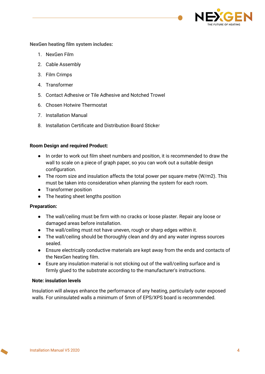

**NexGen heating film system includes:**

- 1. NexGen Film
- 2. Cable Assembly
- 3. Film Crimps
- 4. Transformer
- 5. Contact Adhesive or Tile Adhesive and Notched Trowel
- 6. Chosen Hotwire Thermostat
- 7. Installation Manual
- 8. Installation Certificate and Distribution Board Sticker

#### **Room Design and required Product:**

- In order to work out film sheet numbers and position, it is recommended to draw the wall to scale on a piece of graph paper, so you can work out a suitable design configuration.
- The room size and insulation affects the total power per square metre (W/m2). This must be taken into consideration when planning the system for each room.
- Transformer position
- The heating sheet lengths position

#### **Preparation:**

- The wall/ceiling must be firm with no cracks or loose plaster. Repair any loose or damaged areas before installation.
- The wall/ceiling must not have uneven, rough or sharp edges within it.
- The wall/ceiling should be thoroughly clean and dry and any water ingress sources sealed.
- Ensure electrically conductive materials are kept away from the ends and contacts of the NexGen heating film.
- Esure any insulation material is not sticking out of the wall/ceiling surface and is firmly glued to the substrate according to the manufacturer's instructions.

#### **Note: insulation levels**

Insulation will always enhance the performance of any heating, particularly outer exposed walls. For uninsulated walls a minimum of 5mm of EPS/XPS board is recommended.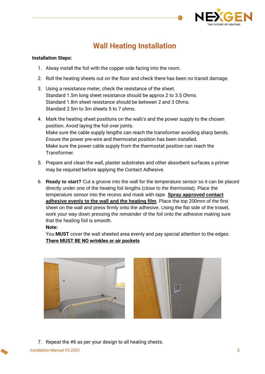

# **Wall Heating Installation**

#### **Installation Steps:**

- 1. Alway install the foil with the copper side facing into the room.
- 2. Roll the heating sheets out on the floor and check there has been no transit damage.
- 3. Using a resistance meter, check the resistance of the sheet. Standard 1.5m long sheet resistance should be approx 2 to 3.5 Ohms. Standard 1.8m sheet resistance should be between 2 and 3 Ohms. Standard 2.5m to 3m sheets 5 to 7 ohms.
- 4. Mark the heating sheet positions on the wall/s and the power supply to the chosen position. Avoid laying the foil over joints. Make sure the cable supply lengths can reach the transformer avoiding sharp bends. Ensure the power pre-wire and thermostat position has been installed. Make sure the power cable supply from the thermostat position can reach the Transformer.
- 5. Prepare and clean the wall, plaster substrates and other absorbent surfaces a primer may be required before applying the Contact Adhesive.
- 6. **Ready to start?** Cut a groove into the wall for the temperature sensor so it can be placed directly under one of the heating foil lengths (close to the thermostat). Place the temperature sensor into the recess and mask with tape. **Spray approved contact adhesive evenly to the wall and the heating film**. Place the top 200mm of the first sheet on the wall and press firmly onto the adhesive. Using the flat side of the trowel, work your way down pressing the remainder of the foil onto the adhesive making sure that the heating foil is smooth.

#### **Note:**

You **MUST** cover the wall sheeted area evenly and pay special attention to the edges. **There MUST BE NO wrinkles or air pockets**



7. Repeat the #6 as per your design to all heating sheets.

**Installation Manual V5 2020** 5 **5**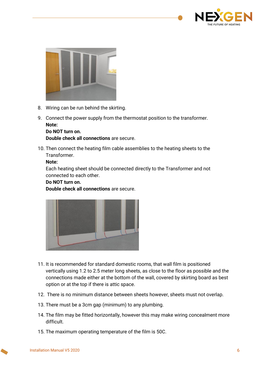



- 8. Wiring can be run behind the skirting.
- 9. Connect the power supply from the thermostat position to the transformer. **Note:**

**Do NOT turn on. Double check all connections** are secure.

10. Then connect the heating film cable assemblies to the heating sheets to the Transformer.

#### **Note:**

Each heating sheet should be connected directly to the Transformer and not connected to each other.

#### **Do NOT turn on.**

**Double check all connections** are secure.



- 11. It is recommended for standard domestic rooms, that wall film is positioned vertically using 1.2 to 2.5 meter long sheets, as close to the floor as possible and the connections made either at the bottom of the wall, covered by skirting board as best option or at the top if there is attic space.
- 12. There is no minimum distance between sheets however, sheets must not overlap.
- 13. There must be a 3cm gap (minimum) to any plumbing.
- 14. The film may be fitted horizontally, however this may make wiring concealment more difficult.
- 15. The maximum operating temperature of the film is 50C.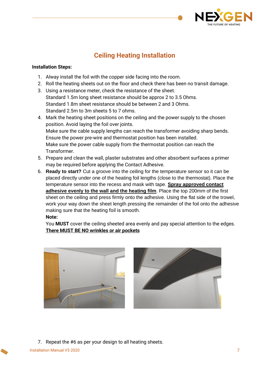

## **Ceiling Heating Installation**

#### **Installation Steps:**

- 1. Alway install the foil with the copper side facing into the room.
- 2. Roll the heating sheets out on the floor and check there has been no transit damage.
- 3. Using a resistance meter, check the resistance of the sheet. Standard 1.5m long sheet resistance should be approx 2 to 3.5 Ohms. Standard 1.8m sheet resistance should be between 2 and 3 Ohms. Standard 2.5m to 3m sheets 5 to 7 ohms.
- 4. Mark the heating sheet positions on the ceiling and the power supply to the chosen position. Avoid laying the foil over joints. Make sure the cable supply lengths can reach the transformer avoiding sharp bends. Ensure the power pre-wire and thermostat position has been installed. Make sure the power cable supply from the thermostat position can reach the Transformer.
- 5. Prepare and clean the wall, plaster substrates and other absorbent surfaces a primer may be required before applying the Contact Adhesive.
- 6. **Ready to start?** Cut a groove into the ceiling for the temperature sensor so it can be placed directly under one of the heating foil lengths (close to the thermostat). Place the temperature sensor into the recess and mask with tape. **Spray approved contact adhesive evenly to the wall and the heating film**. Place the top 200mm of the first sheet on the ceiling and press firmly onto the adhesive. Using the flat side of the trowel, work your way down the sheet length pressing the remainder of the foil onto the adhesive making sure that the heating foil is smooth.

#### **Note:**

You **MUST** cover the ceiling sheeted area evenly and pay special attention to the edges. **There MUST BE NO wrinkles or air pockets**





7. Repeat the #6 as per your design to all heating sheets.

Installation Manual V5 2020 7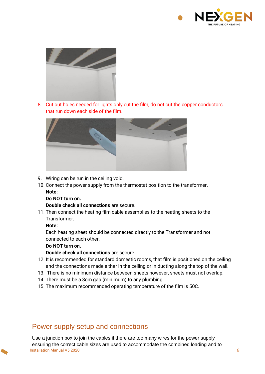



8. Cut out holes needed for lights only cut the film, do not cut the copper conductors that run down each side of the film.



9. Wiring can be run in the ceiling void.

10. Connect the power supply from the thermostat position to the transformer. **Note:**

#### **Do NOT turn on.**

**Double check all connections** are secure.

11. Then connect the heating film cable assemblies to the heating sheets to the **Transformer** 

#### **Note:**

Each heating sheet should be connected directly to the Transformer and not connected to each other.

#### **Do NOT turn on.**

**Double check all connections** are secure.

- 12. It is recommended for standard domestic rooms, that film is positioned on the ceiling and the connections made either in the ceiling or in ducting along the top of the wall.
- 13. There is no minimum distance between sheets however, sheets must not overlap.
- 14. There must be a 3cm gap (minimum) to any plumbing.
- 15. The maximum recommended operating temperature of the film is 50C.

## Power supply setup and connections

Installation Manual V5 2020 8 Use a junction box to join the cables if there are too many wires for the power supply ensuring the correct cable sizes are used to accommodate the combined loading and to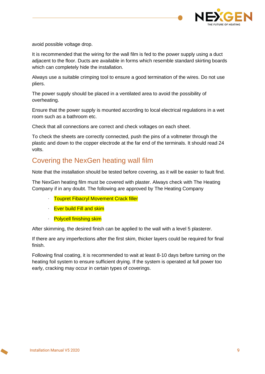

avoid possible voltage drop.

It is recommended that the wiring for the wall film is fed to the power supply using a duct adjacent to the floor. Ducts are available in forms which resemble standard skirting boards which can completely hide the installation.

Always use a suitable crimping tool to ensure a good termination of the wires. Do not use pliers.

The power supply should be placed in a ventilated area to avoid the possibility of overheating.

Ensure that the power supply is mounted according to local electrical regulations in a wet room such as a bathroom etc.

Check that all connections are correct and check voltages on each sheet.

To check the sheets are correctly connected, push the pins of a voltmeter through the plastic and down to the copper electrode at the far end of the terminals. It should read 24 volts.

### Covering the NexGen heating wall film

Note that the installation should be tested before covering, as it will be easier to fault find.

The NexGen heating film must be covered with plaster. Always check with The Heating Company if in any doubt. The following are approved by The Heating Company

- **Toupret Fibacryl Movement Crack filler**
- **Ever build Fill and skim**
- · Polycell finishing skim

After skimming, the desired finish can be applied to the wall with a level 5 plasterer.

If there are any imperfections after the first skim, thicker layers could be required for final finish.

Following final coating, it is recommended to wait at least 8-10 days before turning on the heating foil system to ensure sufficient drying. If the system is operated at full power too early, cracking may occur in certain types of coverings.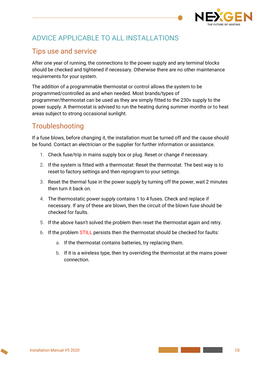

# <span id="page-9-0"></span>ADVICE APPLICABLE TO ALL INSTALLATIONS

## <span id="page-9-1"></span>Tips use and service

After one year of running, the connections to the power supply and any terminal blocks should be checked and tightened if necessary. Otherwise there are no other maintenance requirements for your system.

The addition of a programmable thermostat or control allows the system to be programmed/controlled as and when needed. Most brands/types of programmer/thermostat can be used as they are simply fitted to the 230v supply to the power supply. A thermostat is advised to run the heating during summer months or to heat areas subject to strong occasional sunlight.

## <span id="page-9-2"></span>Troubleshooting

If a fuse blows, before changing it, the installation must be turned off and the cause should be found. Contact an electrician or the supplier for further information or assistance.

- 1. Check fuse/trip in mains supply box or plug. Reset or change if necessary.
- 2. If the system is fitted with a thermostat: Reset the thermostat. The best way is to reset to factory settings and then reprogram to your settings.
- 3. Reset the thermal fuse in the power supply by turning off the power, wait 2 minutes then turn it back on.
- 4. The thermostatic power supply contains 1 to 4 fuses. Check and replace if necessary. If any of these are blown, then the circuit of the blown fuse should be checked for faults.
- 5. If the above hasn't solved the problem then reset the thermostat again and retry.
- 6. If the problem STILL persists then the thermostat should be checked for faults:
	- a. If the thermostat contains batteries, try replacing them.
	- b. If it is a wireless type, then try overriding the thermostat at the mains power connection.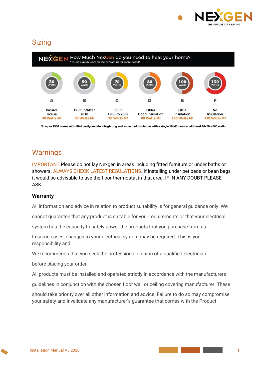

## **Sizing**



So a pre 1980 house with filled cavity and double glazing and some roof insulation with a single 10 M<sup>2</sup> room would need 10x80 = 800 watts

## <span id="page-10-0"></span>**Warnings**

IMPORTANT Please do not lay Nexgen in areas including fitted furniture or under baths or showers. ALWAYS CHECK LATEST REGULATIONS. If installing under pet beds or bean bags it would be advisable to use the floor thermostat in that area. IF IN ANY DOUBT PLEASE ASK

#### **Warranty**

All information and advice in relation to product suitability is for general guidance only. We

cannot guarantee that any product is suitable for your requirements or that your electrical

system has the capacity to safely power the products that you purchase from us.

In some cases, changes to your electrical system may be required. This is your responsibility and

We recommends that you seek the professional opinion of a qualified electrician

before placing your order.

All products must be installed and operated strictly in accordance with the manufacturers

guidelines in conjunction with the chosen floor wall or ceiling covering manufacturer. These

should take priority over all other information and advice. Failure to do so may compromise your safety and invalidate any manufacturer's guarantee that comes with the Product.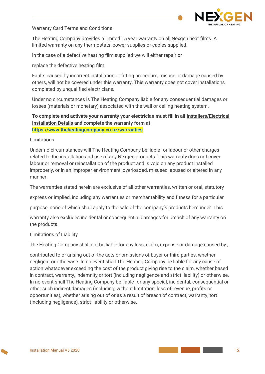

Warranty Card Terms and Conditions

The Heating Company provides a limited 15 year warranty on all Nexgen heat films. A limited warranty on any thermostats, power supplies or cables supplied.

In the case of a defective heating film supplied we will either repair or

replace the defective heating film.

Faults caused by incorrect installation or fitting procedure, misuse or damage caused by others, will not be covered under this warranty. This warranty does not cover installations completed by unqualified electricians.

Under no circumstances is The Heating Company liable for any consequential damages or losses (materials or monetary) associated with the wall or ceiling heating system.

**To complete and activate your warranty your electrician must fill in all Installers/Electrical Installation Details and complete the warranty form at [https://www.theheatingcompany.co.nz/warranties.](https://www.theheatingcompany.co.nz/warranties)**

Limitations

Under no circumstances will The Heating Company be liable for labour or other charges related to the installation and use of any Nexgen products. This warranty does not cover labour or removal or reinstallation of the product and is void on any product installed improperly, or in an improper environment, overloaded, misused, abused or altered in any manner.

The warranties stated herein are exclusive of all other warranties, written or oral, statutory

express or implied, including any warranties or merchantability and fitness for a particular

purpose, none of which shall apply to the sale of the company's products hereunder. This

warranty also excludes incidental or consequential damages for breach of any warranty on the products.

#### Limitations of Liability

The Heating Company shall not be liable for any loss, claim, expense or damage caused by ,

contributed to or arising out of the acts or omissions of buyer or third parties, whether negligent or otherwise. In no event shall The Heating Company be liable for any cause of action whatsoever exceeding the cost of the product giving rise to the claim, whether based in contract, warranty, indemnity or tort (including negligence and strict liability) or otherwise. In no event shall The Heating Company be liable for any special, incidental, consequential or other such indirect damages (including, without limitation, loss of revenue, profits or opportunities), whether arising out of or as a result of breach of contract, warranty, tort (including negligence), strict liability or otherwise.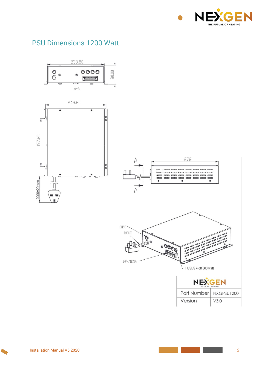

# <span id="page-12-0"></span>PSU Dimensions 1200 Watt

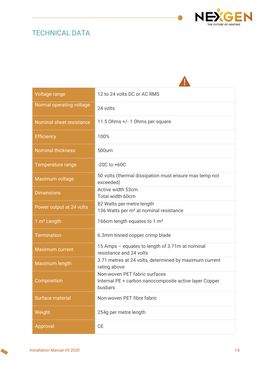# <span id="page-13-0"></span>TECHNICAL DATA



| Voltage range            | 12 to 24 volts DC or AC RMS                                                                        |
|--------------------------|----------------------------------------------------------------------------------------------------|
| Normal operating voltage | 24 volts                                                                                           |
| Nominal sheet resistance | 11.5 Ohms +/- 1 Ohms per square                                                                    |
| <b>Efficiency</b>        | 100%                                                                                               |
| <b>Nominal thickness</b> | 500um                                                                                              |
| Temperature range        | $-20C$ to $+60C$                                                                                   |
| Maximum voltage          | 50 volts (thermal dissipation must ensure max temp not<br>exceeded)                                |
| <b>Dimensions</b>        | Active width 53cm<br>Total width 60cm                                                              |
| Power output at 24 volts | 82 Watts per metre length<br>136 Watts per m <sup>2</sup> at nominal resistance                    |
| 1 m <sup>2</sup> Length  | 166cm length equates to 1 m <sup>2</sup>                                                           |
| <b>Termination</b>       | 6.3mm tinned copper crimp blade                                                                    |
| <b>Maximum current</b>   | 15 Amps - equates to length of 3.71m at nominal<br>resistance and 24 volts                         |
| Maximum length           | 3.71 metres at 24 volts, determined by maximum current<br>rating above                             |
| Composition              | Non-woven PET fabric surfaces<br>Internal PE + carbon nanocomposite active layer Copper<br>busbars |
| Surface material         | Non-woven PET fibre fabric                                                                         |
| Weight                   | 254g per metre length                                                                              |
| Approval                 | <b>CE</b>                                                                                          |